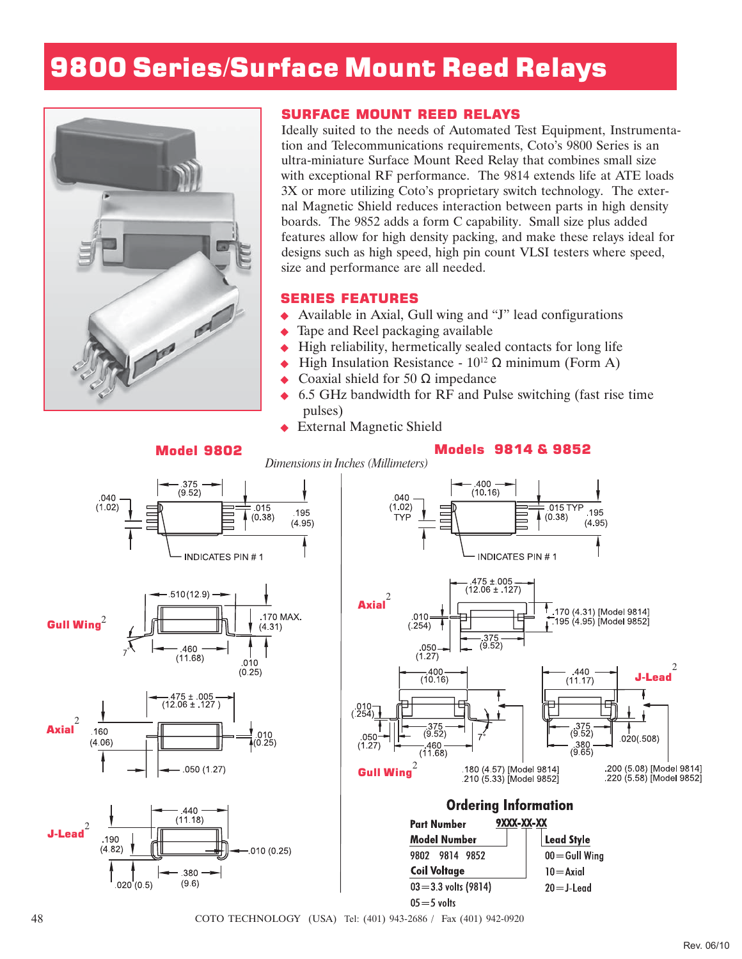## 9800 Series/Surface Mount Reed Relays



## SURFACE MOUNT REED RELAYS

Ideally suited to the needs of Automated Test Equipment, Instrumentation and Telecommunications requirements, Coto's 9800 Series is an ultra-miniature Surface Mount Reed Relay that combines small size with exceptional RF performance. The 9814 extends life at ATE loads 3X or more utilizing Coto's proprietary switch technology. The external Magnetic Shield reduces interaction between parts in high density boards. The 9852 adds a form C capability. Small size plus added features allow for high density packing, and make these relays ideal for designs such as high speed, high pin count VLSI testers where speed, size and performance are all needed.

## SERIES FEATURES

- Available in Axial, Gull wing and "J" lead configurations
- Tape and Reel packaging available
- High reliability, hermetically sealed contacts for long life
- High Insulation Resistance  $10^{12}$  Ω minimum (Form A)
- Coaxial shield for 50  $\Omega$  impedance
- ◆ 6.5 GHz bandwidth for RF and Pulse switching (fast rise time pulses)
- External Magnetic Shield

## Model 9802 Models 9814 & 9852